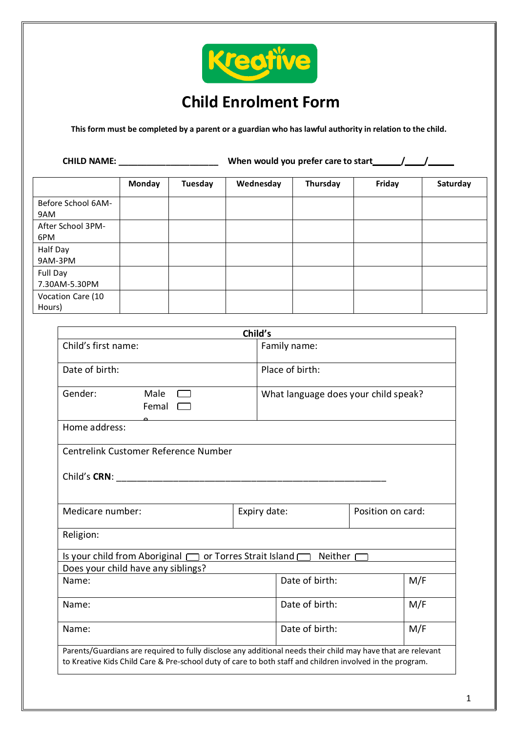

# **Child Enrolment Form**

**This form must be completed by a parent or a guardian who has lawful authority in relation to the child.**

| <b>CHILD NAME:</b>          |               | When would you prefer care to start |           |          |        |          |
|-----------------------------|---------------|-------------------------------------|-----------|----------|--------|----------|
|                             | <b>Monday</b> | Tuesday                             | Wednesday | Thursday | Friday | Saturday |
| Before School 6AM-<br>9AM   |               |                                     |           |          |        |          |
| After School 3PM-<br>6PM    |               |                                     |           |          |        |          |
| Half Day<br>9AM-3PM         |               |                                     |           |          |        |          |
| Full Day<br>7.30AM-5.30PM   |               |                                     |           |          |        |          |
| Vocation Care (10<br>Hours) |               |                                     |           |          |        |          |

|                                                                                                                                                                                                                           | Child's |                                      |  |     |
|---------------------------------------------------------------------------------------------------------------------------------------------------------------------------------------------------------------------------|---------|--------------------------------------|--|-----|
| Child's first name:                                                                                                                                                                                                       |         | Family name:                         |  |     |
| Date of birth:                                                                                                                                                                                                            |         | Place of birth:                      |  |     |
| Male<br>Gender:<br>Femal                                                                                                                                                                                                  |         | What language does your child speak? |  |     |
| Home address:                                                                                                                                                                                                             |         |                                      |  |     |
| Centrelink Customer Reference Number                                                                                                                                                                                      |         |                                      |  |     |
| Child's CRN: Example 2014                                                                                                                                                                                                 |         |                                      |  |     |
| Medicare number:                                                                                                                                                                                                          |         | Position on card:<br>Expiry date:    |  |     |
| Religion:                                                                                                                                                                                                                 |         |                                      |  |     |
| Is your child from Aboriginal $\Box$ or Torres Strait Island $\Box$                                                                                                                                                       |         | Neither [                            |  |     |
| Does your child have any siblings?                                                                                                                                                                                        |         |                                      |  |     |
| Name:                                                                                                                                                                                                                     |         | Date of birth:                       |  | M/F |
| Name:                                                                                                                                                                                                                     |         | Date of birth:                       |  | M/F |
| Name:                                                                                                                                                                                                                     |         | Date of birth:                       |  | M/F |
| Parents/Guardians are required to fully disclose any additional needs their child may have that are relevant<br>to Kreative Kids Child Care & Pre-school duty of care to both staff and children involved in the program. |         |                                      |  |     |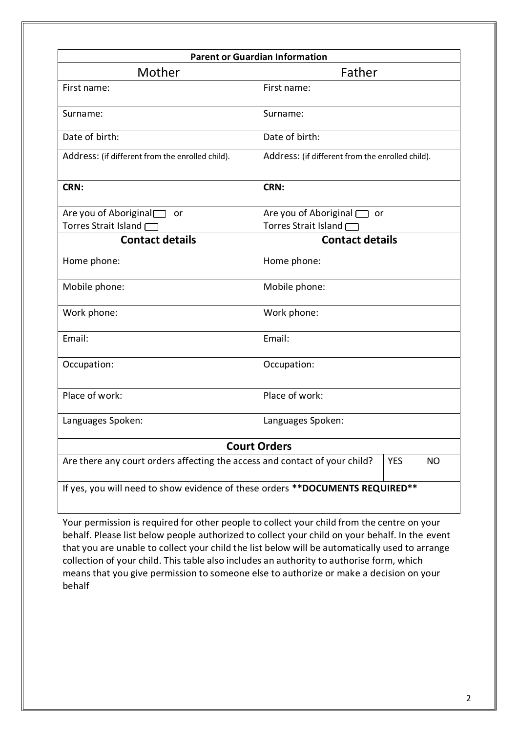| <b>Parent or Guardian Information</b>                 |                                                                                                       |  |  |  |
|-------------------------------------------------------|-------------------------------------------------------------------------------------------------------|--|--|--|
| Mother                                                | Father                                                                                                |  |  |  |
| First name:                                           | First name:                                                                                           |  |  |  |
| Surname:                                              | Surname:                                                                                              |  |  |  |
| Date of birth:                                        | Date of birth:                                                                                        |  |  |  |
| Address: (if different from the enrolled child).      | Address: (if different from the enrolled child).                                                      |  |  |  |
| CRN:                                                  | CRN:                                                                                                  |  |  |  |
| Are you of Aboriginal<br>or<br>Torres Strait Island [ | Are you of Aboriginal contact<br>Torres Strait Island [                                               |  |  |  |
| <b>Contact details</b>                                | <b>Contact details</b>                                                                                |  |  |  |
| Home phone:                                           | Home phone:                                                                                           |  |  |  |
| Mobile phone:                                         | Mobile phone:                                                                                         |  |  |  |
| Work phone:                                           | Work phone:                                                                                           |  |  |  |
| Email:                                                | Email:                                                                                                |  |  |  |
| Occupation:                                           | Occupation:                                                                                           |  |  |  |
| Place of work:                                        | Place of work:                                                                                        |  |  |  |
| Languages Spoken:<br>Languages Spoken:                |                                                                                                       |  |  |  |
|                                                       | <b>Court Orders</b>                                                                                   |  |  |  |
|                                                       | Are there any court orders affecting the access and contact of your child?<br><b>YES</b><br><b>NO</b> |  |  |  |

Your permission is required for other people to collect your child from the centre on your behalf. Please list below people authorized to collect your child on your behalf. In the event that you are unable to collect your child the list below will be automatically used to arrange collection of your child. This table also includes an authority to authorise form, which means that you give permission to someone else to authorize or make a decision on your behalf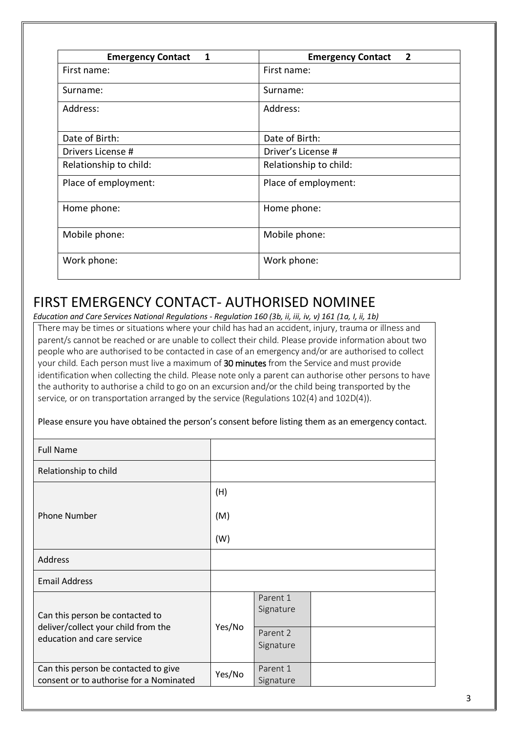| <b>Emergency Contact</b><br>1 | <b>Emergency Contact</b><br>$\overline{2}$ |  |  |
|-------------------------------|--------------------------------------------|--|--|
| First name:                   | First name:                                |  |  |
| Surname:                      | Surname:                                   |  |  |
| Address:                      | Address:                                   |  |  |
| Date of Birth:                | Date of Birth:                             |  |  |
| Drivers License #             | Driver's License #                         |  |  |
| Relationship to child:        | Relationship to child:                     |  |  |
| Place of employment:          | Place of employment:                       |  |  |
| Home phone:                   | Home phone:                                |  |  |
| Mobile phone:                 | Mobile phone:                              |  |  |
| Work phone:                   | Work phone:                                |  |  |

## FIRST EMERGENCY CONTACT- AUTHORISED NOMINEE

*Education and Care Services National Regulations - Regulation 160 (3b, ii, iii, iv, v) 161 (1a, I, ii, 1b)*

There may be times or situations where your child has had an accident, injury, trauma or illness and parent/s cannot be reached or are unable to collect their child. Please provide information about two people who are authorised to be contacted in case of an emergency and/or are authorised to collect your child. Each person must live a maximum of 30 minutes from the Service and must provide identification when collecting the child. Please note only a parent can authorise other persons to have the authority to authorise a child to go on an excursion and/or the child being transported by the service, or on transportation arranged by the service (Regulations 102(4) and 102D(4)).

|  |  | Please ensure you have obtained the person's consent before listing them as an emergency contact. |
|--|--|---------------------------------------------------------------------------------------------------|
|  |  |                                                                                                   |

| <b>Full Name</b>                                                                |        |                       |  |
|---------------------------------------------------------------------------------|--------|-----------------------|--|
| Relationship to child                                                           |        |                       |  |
|                                                                                 | (H)    |                       |  |
| <b>Phone Number</b>                                                             | (M)    |                       |  |
|                                                                                 | (W)    |                       |  |
| Address                                                                         |        |                       |  |
| <b>Email Address</b>                                                            |        |                       |  |
| Can this person be contacted to<br>deliver/collect your child from the          | Yes/No | Parent 1<br>Signature |  |
| education and care service                                                      |        | Parent 2<br>Signature |  |
| Can this person be contacted to give<br>consent or to authorise for a Nominated | Yes/No | Parent 1<br>Signature |  |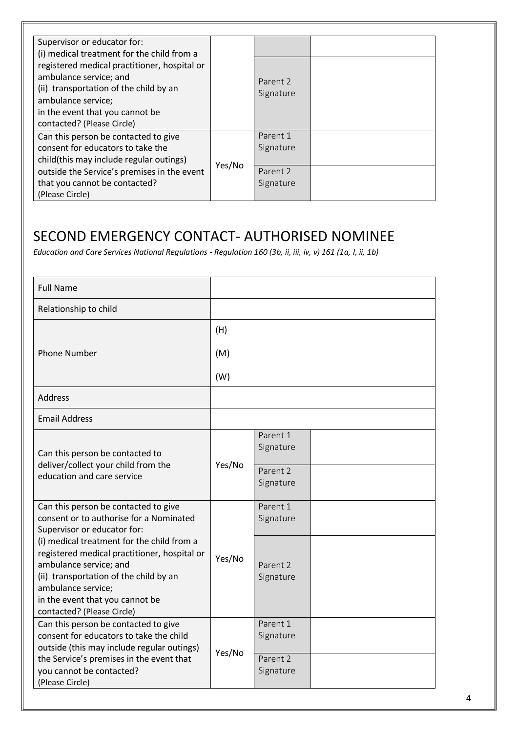| Supervisor or educator for:<br>(i) medical treatment for the child from a<br>registered medical practitioner, hospital or                               |        |                       |  |
|---------------------------------------------------------------------------------------------------------------------------------------------------------|--------|-----------------------|--|
| ambulance service; and<br>(ii) transportation of the child by an<br>ambulance service;<br>in the event that you cannot be<br>contacted? (Please Circle) |        | Parent 2<br>Signature |  |
| Can this person be contacted to give                                                                                                                    |        | Parent 1              |  |
| consent for educators to take the                                                                                                                       |        | Signature             |  |
| child(this may include regular outings)                                                                                                                 |        |                       |  |
| outside the Service's premises in the event                                                                                                             | Yes/No | Parent 2              |  |
| that you cannot be contacted?<br>(Please Circle)                                                                                                        |        | Signature             |  |

# SECOND EMERGENCY CONTACT- AUTHORISED NOMINEE

*Education and Care Services National Regulations - Regulation 160 (3b, ii, iii, iv, v) 161 (1a, I, ii, 1b)*

| <b>Full Name</b>                                                                                                                                                                                                                                      |        |                                                |  |
|-------------------------------------------------------------------------------------------------------------------------------------------------------------------------------------------------------------------------------------------------------|--------|------------------------------------------------|--|
| Relationship to child                                                                                                                                                                                                                                 |        |                                                |  |
|                                                                                                                                                                                                                                                       | (H)    |                                                |  |
| <b>Phone Number</b>                                                                                                                                                                                                                                   | (M)    |                                                |  |
|                                                                                                                                                                                                                                                       | (W)    |                                                |  |
| Address                                                                                                                                                                                                                                               |        |                                                |  |
| <b>Email Address</b>                                                                                                                                                                                                                                  |        |                                                |  |
| Can this person be contacted to<br>deliver/collect your child from the<br>education and care service                                                                                                                                                  | Yes/No | Parent 1<br>Signature<br>Parent 2<br>Signature |  |
| Can this person be contacted to give<br>consent or to authorise for a Nominated<br>Supervisor or educator for:                                                                                                                                        |        | Parent 1<br>Signature                          |  |
| (i) medical treatment for the child from a<br>registered medical practitioner, hospital or<br>ambulance service; and<br>(ii) transportation of the child by an<br>ambulance service;<br>in the event that you cannot be<br>contacted? (Please Circle) | Yes/No | Parent 2<br>Signature                          |  |
| Can this person be contacted to give<br>consent for educators to take the child<br>outside (this may include regular outings)                                                                                                                         | Yes/No | Parent 1<br>Signature                          |  |
| the Service's premises in the event that<br>you cannot be contacted?<br>(Please Circle)                                                                                                                                                               |        | Parent 2<br>Signature                          |  |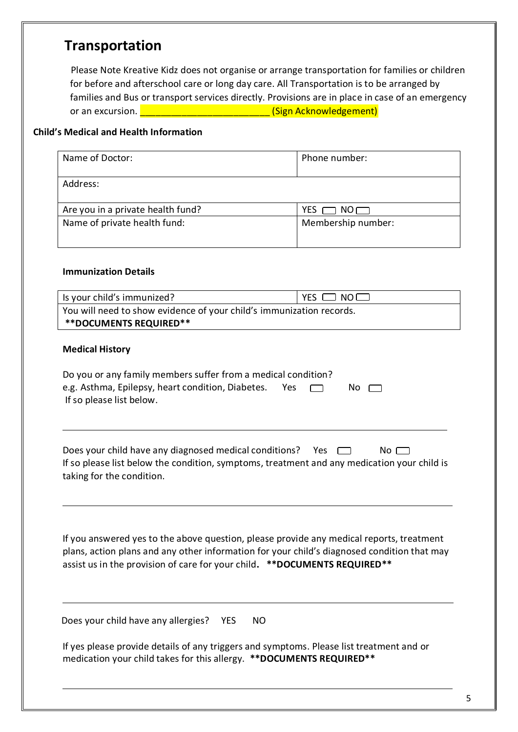## **Transportation**

Please Note Kreative Kidz does not organise or arrange transportation for families or children for before and afterschool care or long day care. All Transportation is to be arranged by families and Bus or transport services directly. Provisions are in place in case of an emergency or an excursion. **Excursion** and the set of the set of the set of the set of the set of the set of the set of th

### **Child's Medical and Health Information**

| Name of Doctor:                   | Phone number:      |  |
|-----------------------------------|--------------------|--|
| Address:                          |                    |  |
| Are you in a private health fund? | YES<br>NO          |  |
| Name of private health fund:      | Membership number: |  |

### **Immunization Details**

| <b>Medical History</b>                                                                                                                         |                                                                                                                                                                                                                                                                       |
|------------------------------------------------------------------------------------------------------------------------------------------------|-----------------------------------------------------------------------------------------------------------------------------------------------------------------------------------------------------------------------------------------------------------------------|
| Do you or any family members suffer from a medical condition?<br>e.g. Asthma, Epilepsy, heart condition, Diabetes.<br>If so please list below. | Yes<br>No.                                                                                                                                                                                                                                                            |
| Does your child have any diagnosed medical conditions?                                                                                         | Yes<br>$No \ \Box$<br>If so please list below the condition, symptoms, treatment and any medication your child is                                                                                                                                                     |
| taking for the condition.                                                                                                                      |                                                                                                                                                                                                                                                                       |
|                                                                                                                                                | If you answered yes to the above question, please provide any medical reports, treatment<br>plans, action plans and any other information for your child's diagnosed condition that may<br>assist us in the provision of care for your child. ** DOCUMENTS REQUIRED** |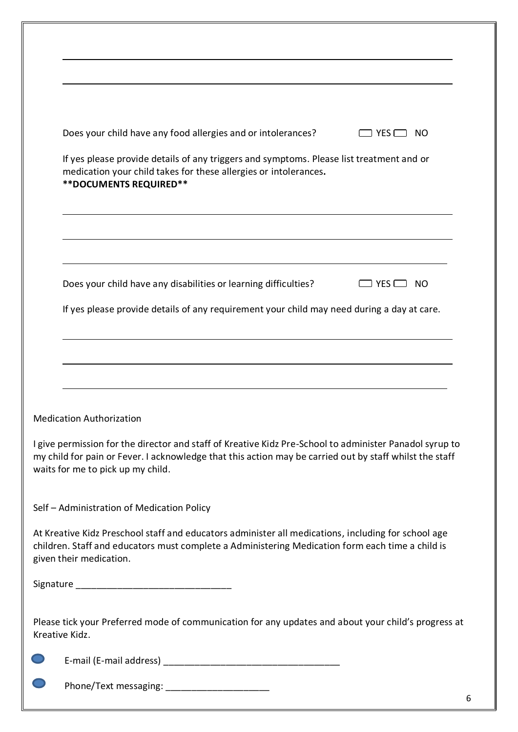| Does your child have any food allergies and or intolerances?<br>$YES$ $\Box$<br>NO.                                                                                                                                                                     |
|---------------------------------------------------------------------------------------------------------------------------------------------------------------------------------------------------------------------------------------------------------|
| If yes please provide details of any triggers and symptoms. Please list treatment and or<br>medication your child takes for these allergies or intolerances.<br><b>**DOCUMENTS REQUIRED**</b>                                                           |
|                                                                                                                                                                                                                                                         |
| Does your child have any disabilities or learning difficulties?<br>YES I<br>NO.                                                                                                                                                                         |
| If yes please provide details of any requirement your child may need during a day at care.                                                                                                                                                              |
|                                                                                                                                                                                                                                                         |
| <b>Medication Authorization</b>                                                                                                                                                                                                                         |
| I give permission for the director and staff of Kreative Kidz Pre-School to administer Panadol syrup to<br>my child for pain or Fever. I acknowledge that this action may be carried out by staff whilst the staff<br>waits for me to pick up my child. |
| Self - Administration of Medication Policy                                                                                                                                                                                                              |
| At Kreative Kidz Preschool staff and educators administer all medications, including for school age<br>children. Staff and educators must complete a Administering Medication form each time a child is<br>given their medication.                      |
|                                                                                                                                                                                                                                                         |
| Please tick your Preferred mode of communication for any updates and about your child's progress at<br>Kreative Kidz.                                                                                                                                   |
|                                                                                                                                                                                                                                                         |
| Phone/Text messaging: _____________________                                                                                                                                                                                                             |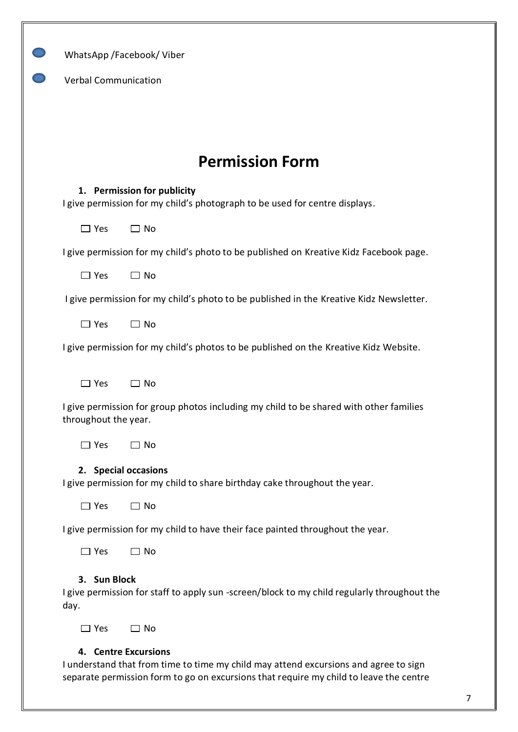|                             | WhatsApp /Facebook/ Viber                                                                                  |
|-----------------------------|------------------------------------------------------------------------------------------------------------|
| <b>Verbal Communication</b> |                                                                                                            |
|                             |                                                                                                            |
|                             |                                                                                                            |
|                             | <b>Permission Form</b>                                                                                     |
|                             | 1. Permission for publicity<br>I give permission for my child's photograph to be used for centre displays. |
| $\Box$ Yes                  | $\Box$ No                                                                                                  |
|                             | I give permission for my child's photo to be published on Kreative Kidz Facebook page.                     |
| $\Box$ Yes                  | $\Box$ No                                                                                                  |
|                             | I give permission for my child's photo to be published in the Kreative Kidz Newsletter.                    |
| $\Box$ Yes                  | $\Box$ No                                                                                                  |
|                             | I give permission for my child's photos to be published on the Kreative Kidz Website.                      |
| $\Box$ Yes                  | $\Box$ No                                                                                                  |
| throughout the year.        | I give permission for group photos including my child to be shared with other families                     |
| $\Box$ Yes                  | $\Box$ No                                                                                                  |
|                             | 2. Special occasions<br>I give permission for my child to share birthday cake throughout the year.         |
| $\Box$ Yes                  | $\Box$ No                                                                                                  |
|                             | I give permission for my child to have their face painted throughout the year.                             |
| $\Box$ Yes                  | $\Box$ No                                                                                                  |
| 3. Sun Block<br>day.        | I give permission for staff to apply sun-screen/block to my child regularly throughout the                 |
| $\Box$ Yes                  | $\Box$ No                                                                                                  |

I understand that from time to time my child may attend excursions and agree to sign separate permission form to go on excursions that require my child to leave the centre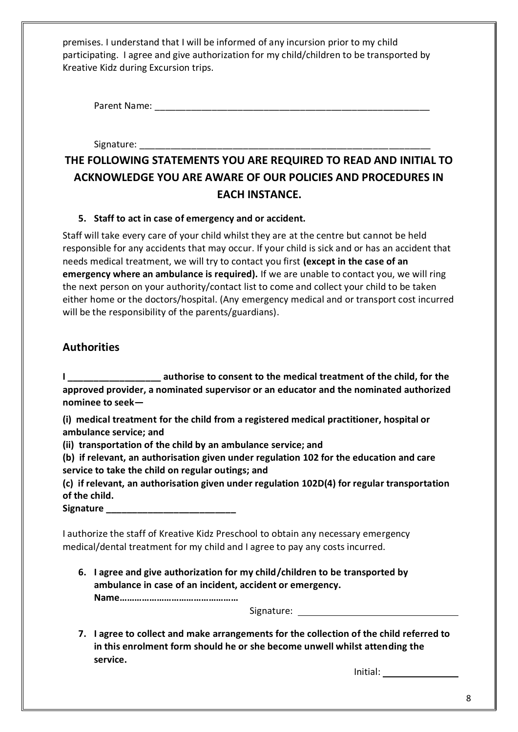premises. I understand that I will be informed of any incursion prior to my child participating. I agree and give authorization for my child/children to be transported by Kreative Kidz during Excursion trips.

Parent Name: \_\_\_\_\_\_\_\_\_\_\_\_\_\_\_\_\_\_\_\_\_\_\_\_\_\_\_\_\_\_\_\_\_\_\_\_\_\_\_\_\_\_\_\_\_\_\_\_\_\_\_\_\_

Signature:

### **THE FOLLOWING STATEMENTS YOU ARE REQUIRED TO READ AND INITIAL TO ACKNOWLEDGE YOU ARE AWARE OF OUR POLICIES AND PROCEDURES IN EACH INSTANCE.**

### **5. Staff to act in case of emergency and or accident.**

Staff will take every care of your child whilst they are at the centre but cannot be held responsible for any accidents that may occur. If your child is sick and or has an accident that needs medical treatment, we will try to contact you first **(except in the case of an emergency where an ambulance is required).** If we are unable to contact you, we will ring the next person on your authority/contact list to come and collect your child to be taken either home or the doctors/hospital. (Any emergency medical and or transport cost incurred will be the responsibility of the parents/guardians).

### **Authorities**

**I \_\_\_\_\_\_\_\_\_\_\_\_\_\_\_\_\_\_ authorise to consent to the medical treatment of the child, for the approved provider, a nominated supervisor or an educator and the nominated authorized nominee to seek—**

**(i) medical treatment for the child from a registered medical practitioner, hospital or ambulance service; and**

**(ii) transportation of the child by an ambulance service; and**

**(b) if relevant, an authorisation given under regulation 102 for the education and care service to take the child on regular outings; and**

**(c) if relevant, an authorisation given under regulation 102D(4) for regular transportation of the child.**

**Signature** *Contract <b>Signature* 

I authorize the staff of Kreative Kidz Preschool to obtain any necessary emergency medical/dental treatment for my child and I agree to pay any costs incurred.

**6. I agree and give authorization for my child/children to be transported by ambulance in case of an incident, accident or emergency.**

**Name…………………………………………**

Signature:

**7. I agree to collect and make arrangements for the collection of the child referred to in this enrolment form should he or she become unwell whilst attending the service.**

Initial: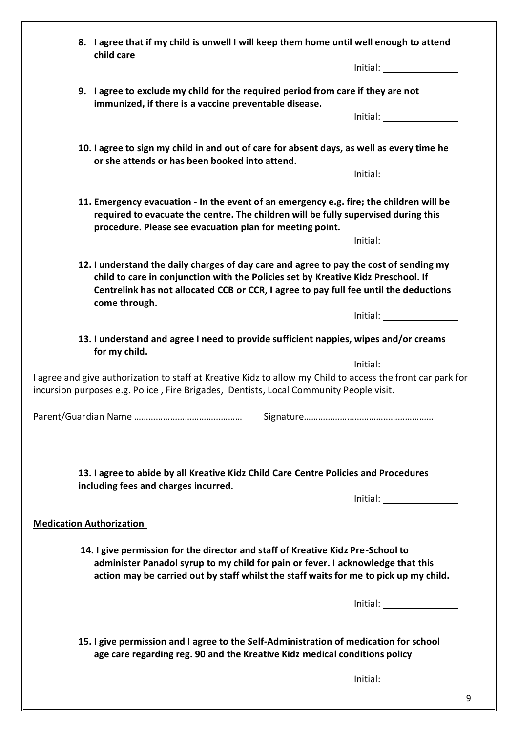|  | 8. I agree that if my child is unwell I will keep them home until well enough to attend<br>child care                                                                                                                                                                                 |                                                                                                                                                                                                                                |  |  |
|--|---------------------------------------------------------------------------------------------------------------------------------------------------------------------------------------------------------------------------------------------------------------------------------------|--------------------------------------------------------------------------------------------------------------------------------------------------------------------------------------------------------------------------------|--|--|
|  |                                                                                                                                                                                                                                                                                       | Initial: the contract of the contract of the contract of the contract of the contract of the contract of the contract of the contract of the contract of the contract of the contract of the contract of the contract of the c |  |  |
|  | 9. I agree to exclude my child for the required period from care if they are not<br>immunized, if there is a vaccine preventable disease.                                                                                                                                             |                                                                                                                                                                                                                                |  |  |
|  |                                                                                                                                                                                                                                                                                       | Initial: and the state of the state of the state of the state of the state of the state of the state of the state of the state of the state of the state of the state of the state of the state of the state of the state of t |  |  |
|  | 10. I agree to sign my child in and out of care for absent days, as well as every time he<br>or she attends or has been booked into attend.                                                                                                                                           |                                                                                                                                                                                                                                |  |  |
|  |                                                                                                                                                                                                                                                                                       |                                                                                                                                                                                                                                |  |  |
|  | 11. Emergency evacuation - In the event of an emergency e.g. fire; the children will be<br>required to evacuate the centre. The children will be fully supervised during this<br>procedure. Please see evacuation plan for meeting point.                                             |                                                                                                                                                                                                                                |  |  |
|  |                                                                                                                                                                                                                                                                                       | Initial: <u>____________________</u>                                                                                                                                                                                           |  |  |
|  | 12. I understand the daily charges of day care and agree to pay the cost of sending my<br>child to care in conjunction with the Policies set by Kreative Kidz Preschool. If<br>Centrelink has not allocated CCB or CCR, I agree to pay full fee until the deductions<br>come through. |                                                                                                                                                                                                                                |  |  |
|  |                                                                                                                                                                                                                                                                                       | Initial: <u>___________________</u>                                                                                                                                                                                            |  |  |
|  | 13. I understand and agree I need to provide sufficient nappies, wipes and/or creams<br>for my child.                                                                                                                                                                                 |                                                                                                                                                                                                                                |  |  |
|  |                                                                                                                                                                                                                                                                                       | Initial: and the state of the state of the state of the state of the state of the state of the state of the state of the state of the state of the state of the state of the state of the state of the state of the state of t |  |  |
|  | I agree and give authorization to staff at Kreative Kidz to allow my Child to access the front car park for<br>incursion purposes e.g. Police, Fire Brigades, Dentists, Local Community People visit.                                                                                 |                                                                                                                                                                                                                                |  |  |
|  | Signature                                                                                                                                                                                                                                                                             |                                                                                                                                                                                                                                |  |  |
|  |                                                                                                                                                                                                                                                                                       |                                                                                                                                                                                                                                |  |  |
|  | 13. I agree to abide by all Kreative Kidz Child Care Centre Policies and Procedures<br>including fees and charges incurred.                                                                                                                                                           |                                                                                                                                                                                                                                |  |  |
|  |                                                                                                                                                                                                                                                                                       | $Initial: \_\_\_\_\_\_\_\_\_\_\_\_\_\_\_\_\_\_\_\_\_\_\_\_\_\_\_\_\_\_\_\_$                                                                                                                                                    |  |  |
|  | <b>Medication Authorization</b>                                                                                                                                                                                                                                                       |                                                                                                                                                                                                                                |  |  |
|  |                                                                                                                                                                                                                                                                                       |                                                                                                                                                                                                                                |  |  |
|  | 14. I give permission for the director and staff of Kreative Kidz Pre-School to<br>administer Panadol syrup to my child for pain or fever. I acknowledge that this<br>action may be carried out by staff whilst the staff waits for me to pick up my child.                           |                                                                                                                                                                                                                                |  |  |
|  |                                                                                                                                                                                                                                                                                       | Initial: and the state of the state of the state of the state of the state of the state of the state of the state of the state of the state of the state of the state of the state of the state of the state of the state of t |  |  |
|  | 15. I give permission and I agree to the Self-Administration of medication for school<br>age care regarding reg. 90 and the Kreative Kidz medical conditions policy                                                                                                                   |                                                                                                                                                                                                                                |  |  |
|  |                                                                                                                                                                                                                                                                                       | $\boxed{\text{Initial:}\_\_\_\_\_\_\_\_\_\_\_\_\_\_\_\_\_\_\_\_\_\_\_\_\_\_\_\_\_\_\_}$                                                                                                                                        |  |  |
|  |                                                                                                                                                                                                                                                                                       |                                                                                                                                                                                                                                |  |  |

9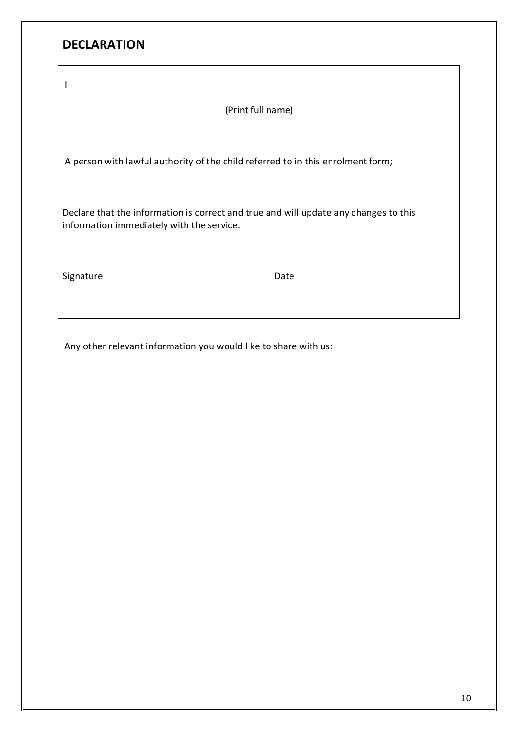| <b>DECLARATION</b>                                                                                                                |  |  |  |  |
|-----------------------------------------------------------------------------------------------------------------------------------|--|--|--|--|
|                                                                                                                                   |  |  |  |  |
| (Print full name)                                                                                                                 |  |  |  |  |
|                                                                                                                                   |  |  |  |  |
| A person with lawful authority of the child referred to in this enrolment form;                                                   |  |  |  |  |
| Declare that the information is correct and true and will update any changes to this<br>information immediately with the service. |  |  |  |  |
| Date____________________________                                                                                                  |  |  |  |  |

Any other relevant information you would like to share with us: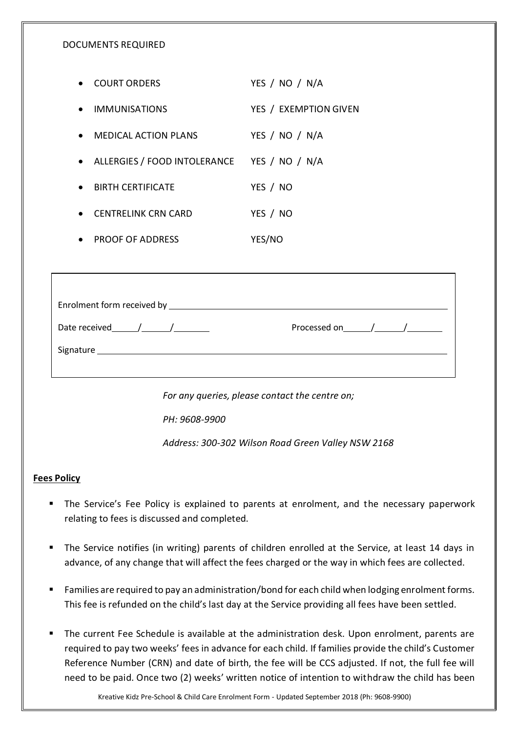#### DOCUMENTS REQUIRED

| <b>COURT ORDERS</b>          | YES / NO / N/A        |
|------------------------------|-----------------------|
| • IMMUNISATIONS              | YES / EXEMPTION GIVEN |
| MEDICAL ACTION PLANS         | YES / NO / N/A        |
| ALLERGIES / FOOD INTOLERANCE | YES / NO / N/A        |
| <b>BIRTH CERTIFICATE</b>     | YES / NO              |
| <b>CENTRELINK CRN CARD</b>   | YES / NO              |
| <b>PROOF OF ADDRESS</b>      | <b>YES/NO</b>         |

| Enrolment form received by <b>ELACCE CONVERTS ENGINEER</b> |                         |
|------------------------------------------------------------|-------------------------|
| Date received $/$ /                                        | Processed on $\sqrt{2}$ |
|                                                            |                         |
|                                                            |                         |

*For any queries, please contact the centre on;*

*PH: 9608-9900*

*Address: 300-302 Wilson Road Green Valley NSW 2168*

#### **Fees Policy**

- **The Service's Fee Policy is explained to parents at enrolment, and the necessary paperwork** relating to fees is discussed and completed.
- The Service notifies (in writing) parents of children enrolled at the Service, at least 14 days in advance, of any change that will affect the fees charged or the way in which fees are collected.
- Families are required to pay an administration/bond for each child when lodging enrolment forms. This fee is refunded on the child's last day at the Service providing all fees have been settled.
- The current Fee Schedule is available at the administration desk. Upon enrolment, parents are required to pay two weeks' fees in advance for each child. If families provide the child's Customer Reference Number (CRN) and date of birth, the fee will be CCS adjusted. If not, the full fee will need to be paid. Once two (2) weeks' written notice of intention to withdraw the child has been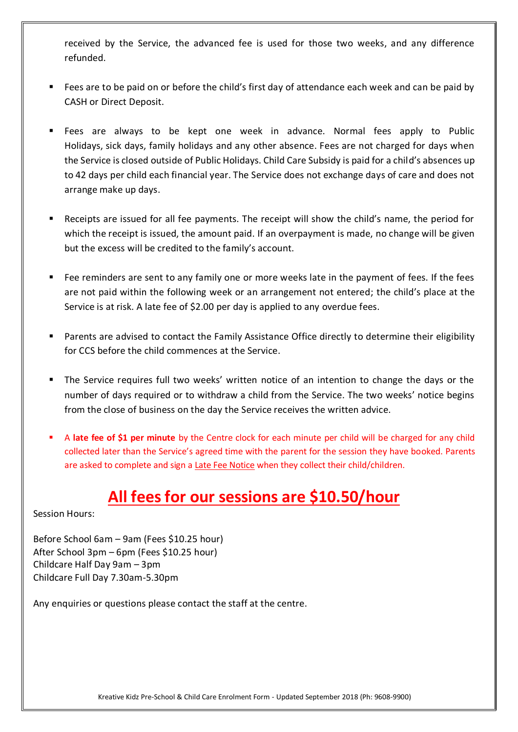received by the Service, the advanced fee is used for those two weeks, and any difference refunded.

- **Fees are to be paid on or before the child's first day of attendance each week and can be paid by** CASH or Direct Deposit.
- Fees are always to be kept one week in advance. Normal fees apply to Public Holidays, sick days, family holidays and any other absence. Fees are not charged for days when the Service is closed outside of Public Holidays. Child Care Subsidy is paid for a child's absences up to 42 days per child each financial year. The Service does not exchange days of care and does not arrange make up days.
- Receipts are issued for all fee payments. The receipt will show the child's name, the period for which the receipt is issued, the amount paid. If an overpayment is made, no change will be given but the excess will be credited to the family's account.
- Fee reminders are sent to any family one or more weeks late in the payment of fees. If the fees are not paid within the following week or an arrangement not entered; the child's place at the Service is at risk. A late fee of \$2.00 per day is applied to any overdue fees.
- Parents are advised to contact the Family Assistance Office directly to determine their eligibility for CCS before the child commences at the Service.
- The Service requires full two weeks' written notice of an intention to change the days or the number of days required or to withdraw a child from the Service. The two weeks' notice begins from the close of business on the day the Service receives the written advice.
- A **late fee of \$1 per minute** by the Centre clock for each minute per child will be charged for any child collected later than the Service's agreed time with the parent for the session they have booked. Parents are asked to complete and sign a Late Fee Notice when they collect their child/children.

# **All fees for our sessions are \$10.50/hour**

Session Hours:

Before School 6am – 9am (Fees \$10.25 hour) After School 3pm – 6pm (Fees \$10.25 hour) Childcare Half Day 9am – 3pm Childcare Full Day 7.30am-5.30pm

Any enquiries or questions please contact the staff at the centre.

Kreative Kidz Pre-School & Child Care Enrolment Form - Updated September 2018 (Ph: 9608-9900)